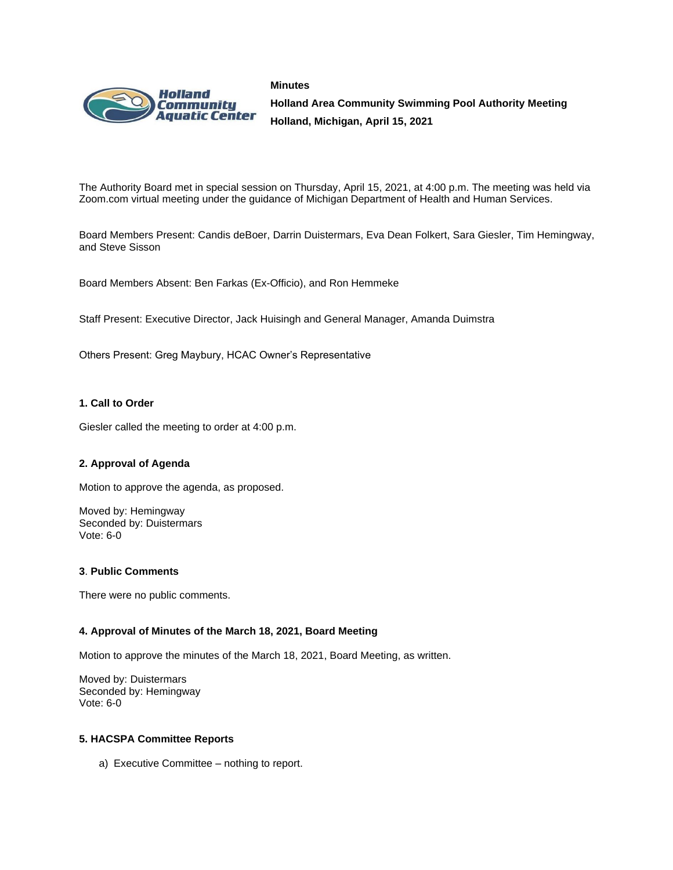



**Holland Area Community Swimming Pool Authority Meeting Holland, Michigan, April 15, 2021**

The Authority Board met in special session on Thursday, April 15, 2021, at 4:00 p.m. The meeting was held via Zoom.com virtual meeting under the guidance of Michigan Department of Health and Human Services.

Board Members Present: Candis deBoer, Darrin Duistermars, Eva Dean Folkert, Sara Giesler, Tim Hemingway, and Steve Sisson

Board Members Absent: Ben Farkas (Ex-Officio), and Ron Hemmeke

Staff Present: Executive Director, Jack Huisingh and General Manager, Amanda Duimstra

Others Present: Greg Maybury, HCAC Owner's Representative

## **1. Call to Order**

Giesler called the meeting to order at 4:00 p.m.

## **2. Approval of Agenda**

Motion to approve the agenda, as proposed.

Moved by: Hemingway Seconded by: Duistermars Vote: 6-0

## **3**. **Public Comments**

There were no public comments.

## **4. Approval of Minutes of the March 18, 2021, Board Meeting**

Motion to approve the minutes of the March 18, 2021, Board Meeting, as written.

Moved by: Duistermars Seconded by: Hemingway Vote: 6-0

## **5. HACSPA Committee Reports**

a) Executive Committee – nothing to report.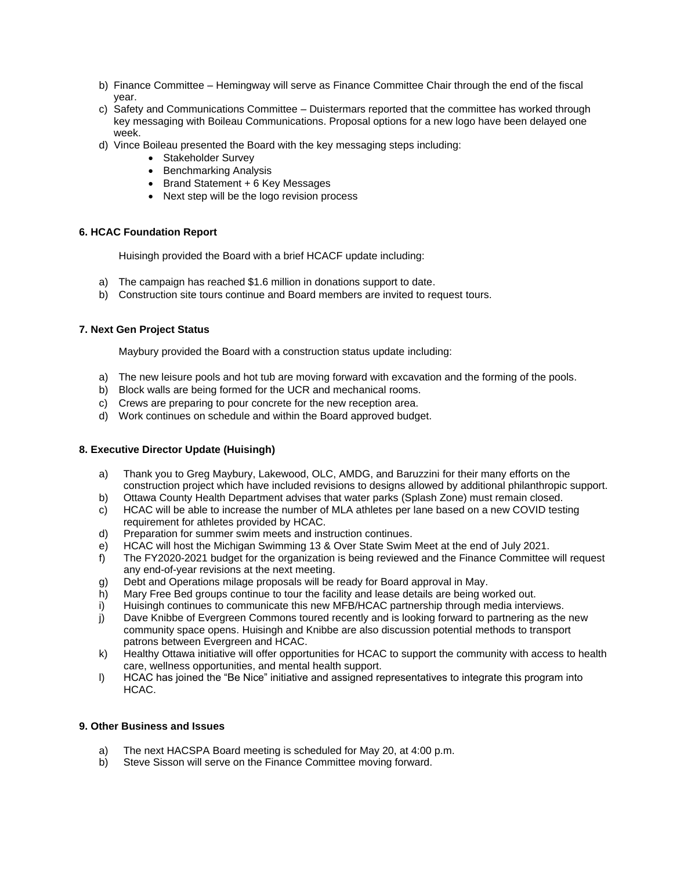- b) Finance Committee Hemingway will serve as Finance Committee Chair through the end of the fiscal year.
- c) Safety and Communications Committee Duistermars reported that the committee has worked through key messaging with Boileau Communications. Proposal options for a new logo have been delayed one week.
- d) Vince Boileau presented the Board with the key messaging steps including:
	- Stakeholder Survey
	- Benchmarking Analysis
	- Brand Statement + 6 Key Messages
	- Next step will be the logo revision process

## **6. HCAC Foundation Report**

Huisingh provided the Board with a brief HCACF update including:

- a) The campaign has reached \$1.6 million in donations support to date.
- b) Construction site tours continue and Board members are invited to request tours.

## **7. Next Gen Project Status**

Maybury provided the Board with a construction status update including:

- a) The new leisure pools and hot tub are moving forward with excavation and the forming of the pools.
- b) Block walls are being formed for the UCR and mechanical rooms.
- c) Crews are preparing to pour concrete for the new reception area.
- d) Work continues on schedule and within the Board approved budget.

## **8. Executive Director Update (Huisingh)**

- a) Thank you to Greg Maybury, Lakewood, OLC, AMDG, and Baruzzini for their many efforts on the construction project which have included revisions to designs allowed by additional philanthropic support.
- 
- b) Ottawa County Health Department advises that water parks (Splash Zone) must remain closed.<br>c) HCAC will be able to increase the number of MLA athletes per lane based on a new COVID test HCAC will be able to increase the number of MLA athletes per lane based on a new COVID testing requirement for athletes provided by HCAC.
- d) Preparation for summer swim meets and instruction continues.
- e) HCAC will host the Michigan Swimming 13 & Over State Swim Meet at the end of July 2021.
- f) The FY2020-2021 budget for the organization is being reviewed and the Finance Committee will request any end-of-year revisions at the next meeting.
- g) Debt and Operations milage proposals will be ready for Board approval in May.
- h) Mary Free Bed groups continue to tour the facility and lease details are being worked out.
- i) Huisingh continues to communicate this new MFB/HCAC partnership through media interviews.
- j) Dave Knibbe of Evergreen Commons toured recently and is looking forward to partnering as the new community space opens. Huisingh and Knibbe are also discussion potential methods to transport patrons between Evergreen and HCAC.
- k) Healthy Ottawa initiative will offer opportunities for HCAC to support the community with access to health care, wellness opportunities, and mental health support.
- l) HCAC has joined the "Be Nice" initiative and assigned representatives to integrate this program into HCAC.

## **9. Other Business and Issues**

- a) The next HACSPA Board meeting is scheduled for May 20, at 4:00 p.m.
- b) Steve Sisson will serve on the Finance Committee moving forward.